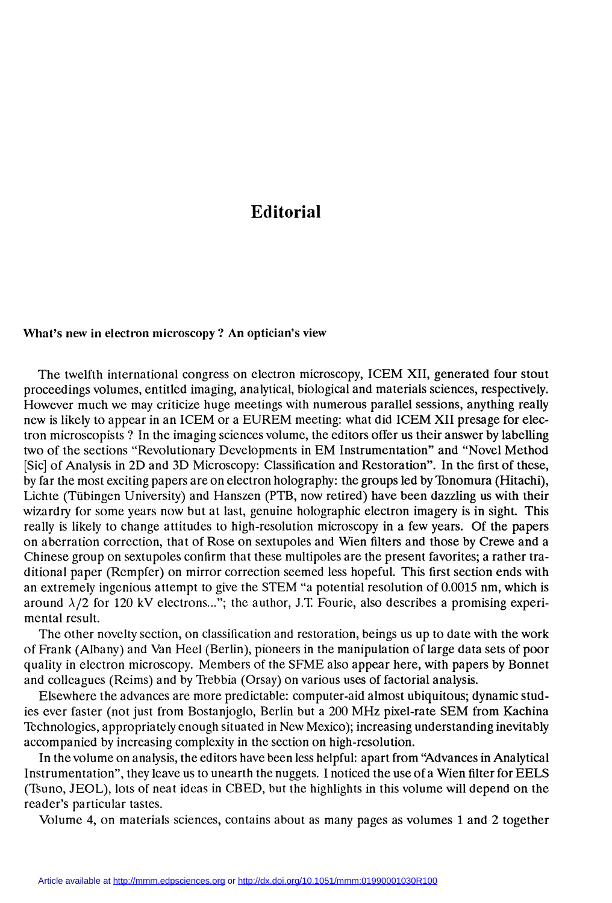## Editorial

## What's new in electron microscopy? An optician's view

The twelfth international congress on electron microscopy, ICEM XII, generated four stout proceedings volumes, entitled imaging, analytical, biological and materials sciences, respectively. how is likely to appear in an ICEM or a EUREM meeting: what did ICEM XII presage for electron microscopists? In the imaging sciences volume, the editors offer us their answer by labelling two of the sections "Revolutionary Developments in EM Instrumentation" and "Novel Method [Sic] of Analysis in 2D and 3D Microscopy: Classification and Restoration". In the first of these, by far the most exciting papers are on electron holography: the groups led by Tonomura (Hitachi), Lichte (Tübingen University) and Hanszen (PTB, now retired) have been dazzling us with their wizardry for some years now but at last, genuine holographic electron imagery is in sight. This really is likely to change attitudes to high-resolution microscopy in a few years. Of the papers on aberration correction, that of Rose on sextupoles and Wien filters and those by Crewe and a Chinese group on sextupoles confirm that these multipoles are the present favorites; a rather traditional paper (Rempfer) on mirror correction seemed less hopeful. This first section ends with an extremely ingenious attempt to give the STEM "a potential resolution of 0.0015 nm, which is around  $\lambda/2$  for 120 kV electrons..."; the author, J.T. Fourie, also describes a promising experimental result.

The other novelty section, on classification and restoration, beings us up to date with the work of Frank (Albany) and Van Heel (Berlin), pioneers in the manipulation of large data sets of poor quality in electron microscopy. Members of the SFME also appear here, with papers by Bonnet and colleagues (Reims) and by Trebbia (Orsay) on various uses of factorial analysis.

Elsewhere the advances are more predictable: computer-aid almost ubiquitous; dynamic studies ever faster (not just from Bostanjoglo, Berlin but a 200 MHz pixel-rate SEM from Kachina Technologies, appropriately enough situated in New Mexico); increasing understanding inevitably accompanied by increasing complexity in the section on high-resolution.

In the volume on analysis, the editors have been less helpful: apart from 'Advances in Analytical Instrumentation", they leave us to unearth the nuggets. 1 noticed the use of a Wien filter for EELS (Tsuno, JEOL), lots of neat ideas in CBED, but the highlights in this volume will depend on the reader's particular tastes.

Volume 4, on materials sciences, contains about as many pages as volumes 1 and 2 together